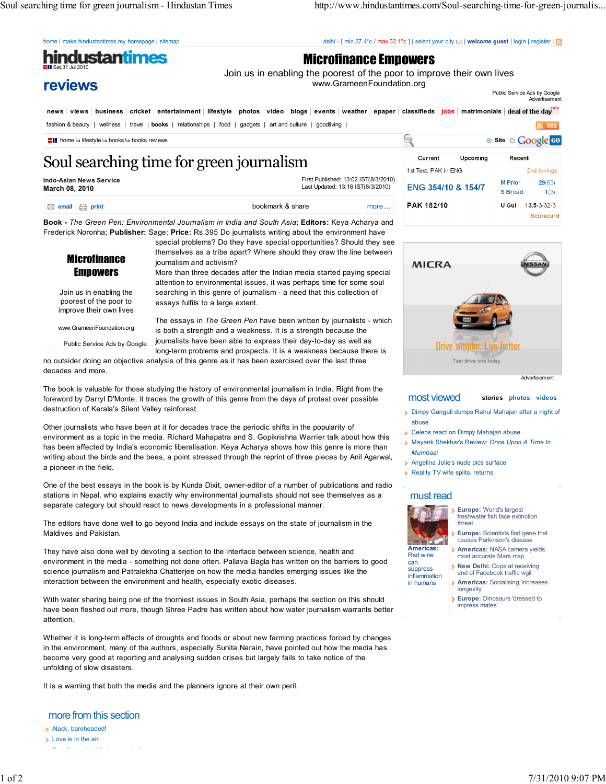Soul searching time for green journalism - Hindustan Times http://www.hindustantimes.com/Soul-searching-time-for-green-journalis...

home | make hindustantimes my homepage | sitemap delhi - [ min 27.4°c / max 32.1°c ] | select your city  $\square$  | welcome guest | login | register |  $\blacksquare$ 

hindustan'imes Sat,31 Jul 2010

## Microfinance Empowers

Join us in enabling the poorest of the poor to improve their own lives www.GrameenFoundation.org

> Advertisement Public Service Ads by Google

news views business cricket entertainment lifestyle photos video blogs events weather epaper classifieds jobs matrimonials deal of the day<sup>new</sup> fashion & beauty | wellness | travel | books | relationships | food | gadgets | art and culture | goodliving |  $\overline{a}$  RSS

# Soul searching time for green journalism

Indo-Asian News Service March 08, 2010

 $\boxtimes$ 

reviews

First Published: 13:02 IST(8/3/2010) Last Updated: 13:16 IST(8/3/2010)

| email $\qquad \qquad \boxminus$ print | bookmark & share | more |
|---------------------------------------|------------------|------|

Book - The Green Pen: Environmental Journalism in India and South Asia; Editors: Keya Acharya and Frederick Noronha; Publisher: Sage; Price: Rs.395 Do journalists writing about the environment have

**Microfinance Empowers** Join us in enabling the

poorest of the poor to improve their own lives

www.GrameenFoundation.org

Public Service Ads by Google

special problems? Do they have special opportunities? Should they see themselves as a tribe apart? Where should they draw the line between journalism and activism?

More than three decades after the Indian media started paying special attention to environmental issues, it was perhaps time for some soul searching in this genre of journalism - a need that this collection of essays fulfils to a large extent.

The essays in The Green Pen have been written by journalists - which is both a strength and a weakness. It is a strength because the journalists have been able to express their day-to-day as well as long-term problems and prospects. It is a weakness because there is

no outsider doing an objective analysis of this genre as it has been exercised over the last three decades and more.

The book is valuable for those studying the history of environmental journalism in India. Right from the foreword by Darryl D'Monte, it traces the growth of this genre from the days of protest over possible destruction of Kerala's Silent Valley rainforest.

Other journalists who have been at it for decades trace the periodic shifts in the popularity of environment as a topic in the media. Richard Mahapatra and S. Gopikrishna Warrier talk about how this has been affected by India's economic liberalisation. Keya Acharya shows how this genre is more than writing about the birds and the bees, a point stressed through the reprint of three pieces by Anil Agarwal, a pioneer in the field.

One of the best essays in the book is by Kunda Dixit, owner-editor of a number of publications and radio stations in Nepal, who explains exactly why environmental journalists should not see themselves as a separate category but should react to news developments in a professional manner.

The editors have done well to go beyond India and include essays on the state of journalism in the Maldives and Pakistan.

They have also done well by devoting a section to the interface between science, health and environment in the media - something not done often. Pallava Bagla has written on the barriers to good science journalism and Patralekha Chatterjee on how the media handles emerging issues like the interaction between the environment and health, especially exotic diseases.

With water sharing being one of the thorniest issues in South Asia, perhaps the section on this should have been fleshed out more, though Shree Padre has written about how water journalism warrants better attention.

Whether it is long-term effects of droughts and floods or about new farming practices forced by changes in the environment, many of the authors, especially Sunita Narain, have pointed out how the media has become very good at reporting and analysing sudden crises but largely fails to take notice of the unfolding of slow disasters.

It is a warning that both the media and the planners ignore at their own peril.

more from this section

- Alack, bareheaded! **Love** is in the air
- Standing up and being counted

**home is lifestyle is books is books is books** reviews Site on Contact the state of the site of the Site of Contact Contact Contact Contact Contact Contact Contact Contact Contact Contact Contact Contact Contact Contact C Current Upcomina Recent 1st Test, PAK in ENG 2nd Innings **M** Prior  $29(63)$ ENG 354/10 & 154/7 **S** Broad  $1(3)$ **PAK 182/10**  $U$  Gul  $43.5 - 3 - 32 - 3$ Scorecard



Advertisement

### most viewed stories photos videos

- Dimpy Ganguli dumps Rahul Mahajan after a night of abuse
- **Example 2** Celebs react on Dimpy Mahajan abuse
- **Mayank Shekhar's Review: Once Upon A Time In** Mumbaai
- **Angelina Jolie's nude pics surface**
- **Reality TV wife splits, returns**

### must read



suppress inflammation in humans

**Europe: World's largest** freshwater fish face extinction threat

- Europe: Scientists find gene that causes Parkinson's disease
- Americas: NASA camera yields most accurate Mars map
- **New Delhi:** Cops at receiving end of Facebook traffic vigil
- **Americas: Socialising 'increases** longevity'
- **Europe: Dinosaurs 'dressed to** impress mates'